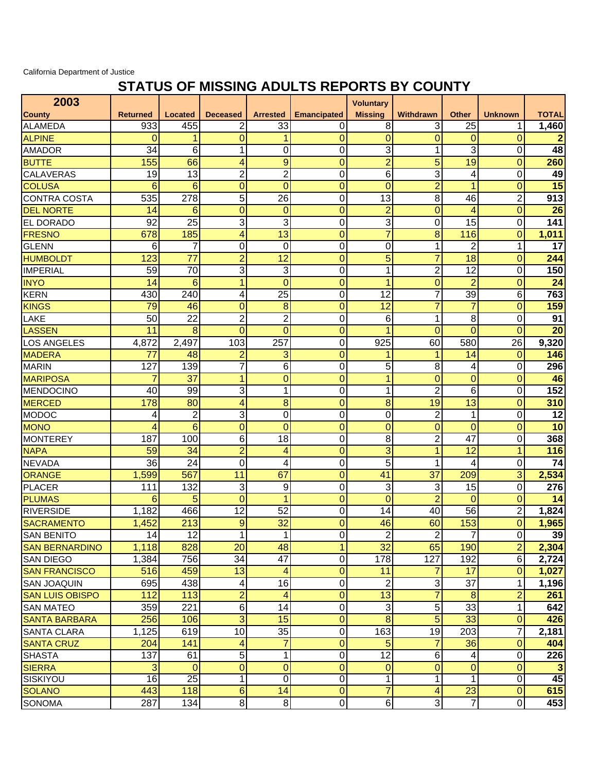California Department of Justice

## **STATUS OF MISSING ADULTS REPORTS BY COUNTY**

| 2003                          |                             |                 |                                |                         |                         | <b>Voluntary</b>  |                  |                  |                                  |                      |
|-------------------------------|-----------------------------|-----------------|--------------------------------|-------------------------|-------------------------|-------------------|------------------|------------------|----------------------------------|----------------------|
| County                        | <b>Returned</b>             | Located         | <b>Deceased</b>                | <b>Arrested</b>         | <b>Emancipated</b>      | <b>Missing</b>    | <b>Withdrawn</b> | <b>Other</b>     | <b>Unknown</b>                   | <b>TOTAL</b>         |
| <b>ALAMEDA</b>                | 933                         | 455             | 2                              | 33<br>1                 | 0                       | 8                 | 3                | 25               | 1                                | 1,460                |
| <b>ALPINE</b>                 | $\Omega$<br>$\overline{34}$ | 1<br>6          | $\overline{0}$<br>$\mathbf{1}$ |                         | $\overline{0}$<br>0     | $\mathbf{0}$<br>3 | 0<br>1           | $\mathbf 0$<br>3 | $\mathbf{0}$<br>$\boldsymbol{0}$ | $\overline{2}$<br>48 |
| <b>AMADOR</b><br><b>BUTTE</b> | 155                         | 66              | 4                              | 0<br>9                  | $\mathbf 0$             | $\overline{2}$    | 5                | $\overline{19}$  | $\mathbf 0$                      | 260                  |
| CALAVERAS                     | 19                          | 13              | $\overline{2}$                 | $\overline{2}$          | 0                       | 6                 | 3                | 4                | $\pmb{0}$                        | 49                   |
| <b>COLUSA</b>                 | 6                           | 6               | $\overline{0}$                 | $\overline{0}$          | $\overline{0}$          | $\overline{0}$    | $\overline{2}$   | $\mathbf{1}$     | $\overline{0}$                   | $\overline{15}$      |
| <b>CONTRA COSTA</b>           | 535                         | 278             | $\overline{5}$                 | $\overline{26}$         | 0                       | $\overline{13}$   | $\overline{8}$   | 46               | $\overline{2}$                   | $\overline{913}$     |
| <b>DEL NORTE</b>              | 14                          | 6               | $\mathbf 0$                    | $\mathbf 0$             | $\overline{0}$          | $\overline{2}$    | 0                | 4                | $\overline{0}$                   | 26                   |
| EL DORADO                     | 92                          | 25              | 3                              | 3                       | 0                       | 3                 | 0                | 15               | 0                                | 141                  |
| <b>FRESNO</b>                 | 678                         | 185             | 4                              | 13                      | $\overline{0}$          | $\overline{7}$    | 8                | 116              | $\overline{0}$                   | 1,011                |
| <b>GLENN</b>                  | 6                           | 7               | 0                              | $\mathbf 0$             | 0                       | 0                 | 1                | $\overline{c}$   | 1                                | 17                   |
| <b>HUMBOLDT</b>               | 123                         | 77              | $\overline{2}$                 | 12                      | $\overline{0}$          | 5                 | $\overline{7}$   | 18               | 0                                | 244                  |
| <b>IMPERIAL</b>               | 59                          | 70              | 3                              | 3                       | 0                       | 1                 | $\overline{2}$   | 12               | 0                                | 150                  |
| <b>INYO</b>                   | 14                          | 6               | $\mathbf{1}$                   | $\overline{0}$          | $\overline{0}$          | 1                 | 0                | $\overline{2}$   | 0                                | 24                   |
| <b>KERN</b>                   | 430                         | 240             | 4                              | 25                      | $\overline{0}$          | 12                | $\overline{7}$   | $\overline{39}$  | 6                                | 763                  |
| <b>KINGS</b>                  | 79                          | 46              | $\mathbf 0$                    | 8                       | $\overline{0}$          | 12                | $\overline{7}$   | $\overline{7}$   | $\overline{0}$                   | 159                  |
| LAKE                          | 50                          | 22              | $\overline{2}$                 | $\overline{2}$          | 0                       | 6                 | 1                | 8                | 0                                | 91                   |
| <b>LASSEN</b>                 | 11                          | 8               | $\overline{0}$                 | $\mathbf 0$             | $\overline{0}$          | 1                 | 0                | $\overline{0}$   | $\overline{0}$                   | 20                   |
| <b>LOS ANGELES</b>            | 4,872                       | 2,497           | 103                            | 257                     | 0                       | 925               | 60               | 580              | 26                               | 9,320                |
| <b>MADERA</b>                 | 77                          | 48              | $\overline{2}$                 | 3                       | $\mathbf 0$             | 1                 | 1                | 14               | $\mathbf 0$                      | 146                  |
| <b>MARIN</b>                  | 127                         | 139             | 7                              | 6                       | 0                       | 5                 | 8                | 4                | 0                                | 296                  |
| <b>MARIPOSA</b>               | $\overline{7}$              | 37              | $\mathbf{1}$                   | $\mathbf 0$             | $\overline{0}$          | 1                 | $\overline{0}$   | $\mathbf 0$      | 0                                | 46                   |
| <b>MENDOCINO</b>              | 40                          | 99              | 3                              | 1                       | 0                       | 1                 | $\overline{2}$   | 6                | $\mathbf 0$                      | 152                  |
| <b>MERCED</b>                 | 178                         | 80              | 4                              | 8                       | $\overline{0}$          | 8                 | 19               | 13               | 0                                | 310                  |
| <b>MODOC</b>                  | 4                           | $\overline{2}$  | 3                              | 0                       | 0                       | 0                 | $\overline{c}$   | 1                | 0                                | 12                   |
| <b>MONO</b>                   | 4                           | 6               | 0                              | $\mathbf 0$             | $\mathbf 0$             | $\mathbf{0}$      | 0                | $\Omega$         | 0                                | 10                   |
| <b>MONTEREY</b>               | 187                         | 100             | 6                              | 18                      | 0                       | 8                 | $\overline{2}$   | 47               | $\mathbf 0$                      | 368                  |
| <b>NAPA</b>                   | 59                          | 34              | $\overline{2}$                 | 4                       | $\mathbf 0$             | 3                 | 1                | 12               | 1                                | 116                  |
| <b>NEVADA</b>                 | $\overline{36}$             | $\overline{24}$ | 0                              | 4                       | 0                       | 5                 | 1                | 4                | 0                                | $\overline{74}$      |
| <b>ORANGE</b>                 | 1,599                       | 567             | 11                             | 67                      | $\overline{0}$          | 41                | 37               | 209              | 3                                | 2,534                |
| <b>PLACER</b>                 | 111                         | 132             | 3                              | 9                       | $\overline{0}$          | 3                 | 3                | $\overline{15}$  | 0                                | 276                  |
| <b>PLUMAS</b>                 | 6                           | 5               | $\overline{0}$                 | 1                       | $\overline{0}$          | $\overline{0}$    | $\overline{2}$   | $\Omega$         | 0                                | 14                   |
| <b>RIVERSIDE</b>              | 1,182                       | 466             | 12                             | 52                      | 0                       | 14                | 40               | 56               | $\overline{c}$                   | 1,824                |
| <b>SACRAMENTO</b>             | 1,452                       | 213             | 9                              | 32                      | $\overline{0}$          | 46                | 60               | 153              | $\overline{0}$                   | 1,965                |
| <b>SAN BENITO</b>             | 14                          | 12              | $\mathbf{1}$                   | $\mathbf{1}$            | $\pmb{0}$               | $\overline{c}$    | $\overline{c}$   | $\overline{7}$   | $\mathbf 0$                      | 39                   |
| <b>SAN BERNARDINO</b>         | 1,118                       | 828             | $\overline{20}$                | 48                      | $\overline{1}$          | 32                | 65               | 190              | $\overline{2}$                   | 2,304                |
| <b>SAN DIEGO</b>              | 1,384                       | 756             | 34                             | 47                      | $\pmb{0}$               | 178               | 127              | 192              | $6\phantom{1}$                   | 2,724                |
| <b>SAN FRANCISCO</b>          | 516                         | 459             | 13                             | 4                       | $\mathbf 0$             | 11                | 7                | 17               | $\mathbf 0$                      | 1,027                |
| <b>SAN JOAQUIN</b>            | 695                         | 438             | 4                              | 16                      | 0                       | $\overline{2}$    | 3                | 37               | 1                                | 1,196                |
| <b>SAN LUIS OBISPO</b>        | 112                         | 113             | $\overline{2}$                 | 4                       | $\overline{0}$          | 13                | $\overline{7}$   | 8                | $\overline{2}$                   | 261                  |
| <b>SAN MATEO</b>              | 359                         | 221             | $\sigma$                       | 14                      | 0                       | دن                | 5                | 33               | $\mathbf{1}$                     | 642                  |
| <b>SANTA BARBARA</b>          | 256                         | 106             | $\overline{3}$                 | 15                      | $\mathbf 0$             | $\bf{8}$          | $\overline{5}$   | 33               | 0                                | 426                  |
| <b>SANTA CLARA</b>            | 1,125                       | 619             | 10                             | 35                      | 0                       | 163               | 19               | 203              | 7                                | 2,181                |
| <b>SANTA CRUZ</b>             | 204                         | 141             | 4                              | $\overline{7}$          | 0                       | 5                 | 7                | 36               | $\mathbf 0$                      | 404                  |
| <b>SHASTA</b>                 | 137                         | 61              | 5                              | $\mathbf{1}$            | $\overline{\mathsf{o}}$ | 12                | 6                | 4                | $\pmb{0}$                        | 226                  |
| <b>SIERRA</b>                 | 3                           | $\mathbf{0}$    | $\overline{0}$                 | $\overline{0}$          | $\mathbf 0$             | $\overline{0}$    | $\overline{0}$   | $\overline{0}$   | $\mathbf 0$                      | 3                    |
| SISKIYOU                      | 16                          | $\overline{25}$ | 1                              | $\overline{\mathsf{o}}$ | $\overline{0}$          | 1                 | 1                | 1                | $\overline{0}$                   | 45                   |
| <b>SOLANO</b>                 | 443                         | 118             | $6 \overline{6}$               | 14                      | $\overline{0}$          | $\overline{7}$    | 4                | 23               | $\mathbf 0$                      | 615                  |
| <b>SONOMA</b>                 | 287                         | 134             | 8 <sup>1</sup>                 | 8                       | $\overline{0}$          | $\,6$             | $\mathbf{3}$     | $\overline{7}$   | 0                                | 453                  |